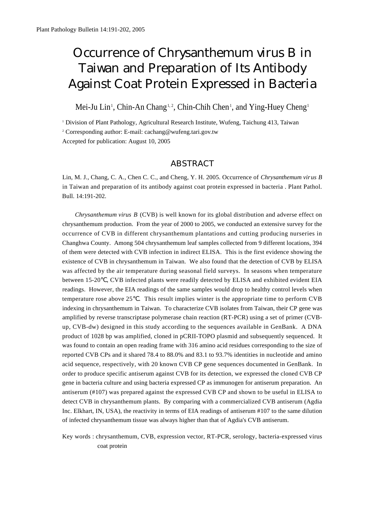# **Occurrence of Chrysanthemum virus B in** *Taiwan and Preparation of Its Antibody Against Coat Protein Expressed in Bacteria*

Mei-Ju Lin<sup>1</sup>, Chin-An Chang<sup>1,2</sup>, Chin-Chih Chen<sup>1</sup>, and Ying-Huey Cheng<sup>1</sup>

<sup>1</sup> Division of Plant Pathology, Agricultural Research Institute, Wufeng, Taichung 413, Taiwan <sup>2</sup> Corresponding author: E-mail: cachang@wufeng.tari.gov.tw Accepted for publication: August 10, 2005

# *A B S T R A C T*

Lin, M. J., Chang, C. A., Chen C. C., and Cheng, Y. H. 2005. Occurrence of *C h rysanthemum viru s B* in Taiwan and preparation of its antibody against coat protein expressed in bacteria . Plant Pathol. Bull. 14:191-202.

*Chrysanthemum virus B* (CVB) is well known for its global distribution and adverse effect on chrysanthemum production. From the year of 2000 to 2005, we conducted an extensive survey for the occurrence of CVB in different chrysanthemum plantations and cutting producing nurseries in Changhwa County. Among 504 chrysanthemum leaf samples collected from 9 different locations, 394 of them were detected with CVB infection in indirect ELISA. This is the first evidence showing the existence of CVB in chrysanthemum in Taiwan. We also found that the detection of CVB by ELISA was affected by the air temperature during seasonal field surveys. In seasons when temperature between 15-20 , CVB infected plants were readily detected by ELISA and exhibited evident EIA readings. However, the EIA readings of the same samples would drop to healthy control levels when temperature rose above 25 . This result implies winter is the appropriate time to perform CVB indexing in chrysanthemum in Taiwan. To characterize CVB isolates from Taiwan, their CP gene was amplified by reverse transcriptase polymerase chain reaction (RT-PCR) using a set of primer (CVBup, CVB-dw) designed in this study according to the sequences available in GenBank. A DNA product of 1028 bp was amplified, cloned in pCRII-TOPO plasmid and subsequently sequenced. It was found to contain an open reading frame with 316 amino acid residues corresponding to the size of reported CVB CPs and it shared 78.4 to 88.0% and 83.1 to 93.7% identities in nucleotide and amino acid sequence, respectively, with 20 known CVB CP gene sequences documented in GenBank. In order to produce specific antiserum against CVB for its detection, we expressed the cloned CVB CP gene in bacteria culture and using bacteria expressed CP as immunogen for antiserum preparation. An antiserum (#107) was prepared against the expressed CVB CP and shown to be useful in ELISA to detect CVB in chrysanthemum plants. By comparing with a commercialized CVB antiserum (Agdia Inc. Elkhart, IN, USA), the reactivity in terms of EIA readings of antiserum #107 to the same dilution of infected chrysanthemum tissue was always higher than that of Agdia's CVB antiserum.

Key words : chrysanthemum, CVB, expression vector, RT-PCR, serology, bacteria-expressed virus coat protein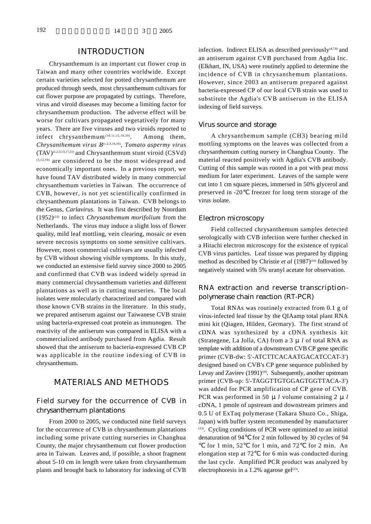# *INTRODUCTION*

Chrysanthemum is an important cut flower crop in Taiwan and many other countries worldwide. Except certain varieties selected for potted chrysanthemum are produced through seeds, most chrysanthemum cultivars for cut flower purpose are propagated by cuttings. Therefore, virus and viroid diseases may become a limiting factor for chrysanthemum production. The adverse effect will be worse for cultivars propagated vegetatively for many years. There are five viruses and two viroids reported to infect chrysanthemum<sup> $(10,11,15,18,20)$ </sup>. . Among them, *Chrysanthemum virus B*<sup>(1,2,3,14,16)</sup>, *Tomato aspermy virus*  $(TAV)^{(1,2,3,13,17,21)}$  and Chrysanthemum stunt viroid  $(CSVd)$  $(3,12,16)$  are considered to be the most widespread and economically important ones. In a previous report, we have found TAV distributed widely in many commercial chrysanthemum varieties in Taiwan. The occurrence of CVB, however, is not yet scientifically confirmed in chrysanthemum plantations in Taiwan. CVB belongs to the Genus, *Carlavirus*. It was first described by Noordam  $(1952)^{(22)}$  to infect *Chrysanthemum morifolium* from the Netherlands. The virus may induce a slight loss of flower quality, mild leaf mottling, vein clearing, mosaic or even severe necrosis symptoms on some sensitive cultivars. However, most commercial cultivars are usually infected by CVB without showing visible symptoms. In this study, we conducted an extensive field survey since 2000 to 2005 and confirmed that CVB was indeed widely spread in many commercial chrysanthemum varieties and different plantations as well as in cutting nurseries. The local isolates were molecularly characterized and compared with those known CVB strains in the literature. In this study, we prepared antiserum against our Taiwanese CVB strain using bacteria-expressed coat protein as immunogen. The reactivity of the antiserum was compared in ELISA with a commercialized antibody purchased from Agdia. Result showed that the antiserum to bacteria-expressed CVB CP was applicable in the routine indexing of CVB in chrysanthemum.

# *MATERIALS AND METHODS*

# *Field survey for the occurrence of CVB in chrysanthemum plantations*

From 2000 to 2005, we conducted nine field surveys for the occurrence of CVB in chrysanthemum plantations including some private cutting nurseries in Changhua County, the major chrysanthemum cut flower production area in Taiwan. Leaves and, if possible, a shoot fragment about 5-10 cm in length were taken from chrysanthemum plants and brought back to laboratory for indexing of CVB infection. Indirect ELISA as described previously $(4,7,8)$  and an antiserum against CVB purchased from Agdia Inc. (Elkhart, IN, USA) were routinely applied to determine the incidence of CVB in chrysanthemum plantations. However, since 2003 an antiserum prepared against bacteria-expressed CP of our local CVB strain was used to substitute the Agdia's CVB antiserum in the ELISA indexing of field surveys.

#### *Virus source and storage*

A chrysanthemum sample (CH3) bearing mild mottling symptoms on the leaves was collected from a chrysanthemum cutting nursery in Changhua County. The material reacted positively with Agdia's CVB antibody. Cutting of this sample was rooted in a pot with peat moss medium for later experiment. Leaves of the sample were cut into 1 cm square pieces, immersed in 50% glycerol and preserved in -20 freezer for long term storage of the virus isolate.

#### *Electron microscopy*

Field collected chrysanthemum samples detected serologically with CVB infection were further checked in a Hitachi electron microscopy for the existence of typical CVB virus particles. Leaf tissue was prepared by dipping method as described by Christie *et al* (1987)<sup>(10)</sup> followed by negatively stained with 5% uranyl acetate for observation.

## *RNA extraction and reverse transcriptionpolymerase chain reaction (RT-PCR)*

Total RNAs was routinely extracted from 0.1 g of virus-infected leaf tissue by the QIAamp total plant RNA mini kit (Qiagen, Hilden, Germary). The first strand of cDNA was synthesized by a cDNA synthesis kit (Strategene, La Jolla, CA) from a 3 μ*l* of total RNA as template with addition of a downstream CVB CP gene specific primer (CVB-dw: 5'-ATCTTCACAATGACATCCAT-3') designed based on CVB's CP gene sequence published by Levay and Zavirev (1991)<sup>(18)</sup>. Subsequently, another upstream primer (CVB-up: 5'-TAGGTTGTGGAGTGGTTACA-3') was added for PCR amplification of CP gene of CVB. PCR was performed in 50 μ*l* volume containing 2 μ*l* cDNA, 1 pmole of upstream and downstream primers and 0.5 U of ExTaq polymerase (Takara Shuzo Co., Shiga, Japan) with buffer system recommended by manufacturer  $(13)$ . Cycling conditions of PCR were optimized to an initial denaturation of 94 for 2 min followed by 30 cycles of 94

for 1 min, 52 for 1 min, and 72 for 2 min. An elongation step at 72 for 6 min was conducted during the last cycle. Amplified PCR product was analyzed by electrophoresis in a 1.2% agarose gel $^{(23)}$ .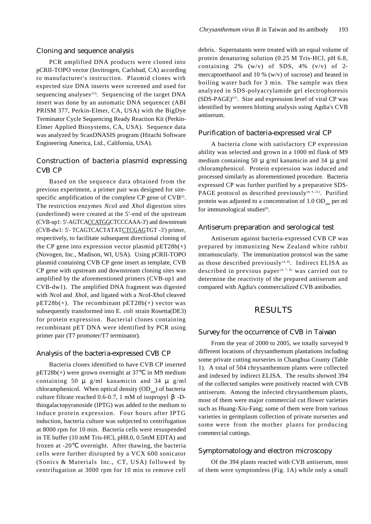PCR amplified DNA products were cloned into p CRII-TOPO vector (Invitrogen, Carlsbad, CA) according to manufacturer's instruction. Plasmid clones with expected size DNA inserts were screened and used for sequencing analyses $(23)$ . Sequencing of the target DNA insert was done by an automatic DNA sequencer (ABI PRISM 377, Perkin-Elmer, CA, USA) with the BigDye Terminator Cycle Sequencing Ready Reaction Kit (Perkin-Elmer Applied Biosystems, CA, USA). Sequence data was analyzed by ScanDNASIS program (Hitachi Software Engineering America, Ltd., California, USA).

## *Construction of bacteria plasmid expressing CVB CP*

Based on the sequence data obtained from the previous experiment, a primer pair was designed for sitespecific amplification of the complete CP gene of  $\text{CVB}^{\scriptscriptstyle{(3)}}$ . The restriction enzymes *NcoI* and *XhoI* digestion sites (underlined) were created at the 5'-end of the upstream (CVB-up1: 5'-AGTCACCATGGCTCCCAAA-3') and downstream (CVB-dw1: 5'- TCAGTCACTATATCTCGAGTGT -3') primer, respectively, to facilitate subsequent directional cloning of the CP gene into expression vector plasmid  $pET28b(+)$ (Novogen, Inc., Madison, WI, USA). Using pCRII-TOPO plasmid containing CVB CP gene insert as template, CVB CP gene with upstream and downstream cloning sites was amplified by the aforementioned primers (CVB-up1 and CVB-dw1). The amplified DNA fragment was digested with *NcoI* and *XhoI*, and ligated with a *NcoI-XhoI* cleaved  $pET28b(+)$ . The recombinant  $pET28b(+)$  vector was subsequently transformed into E. *coli* strain Rosetta(DE3) for protein expression. Bacterial clones containing recombinant pET DNA were identified by PCR using primer pair (T7 promoter/T7 terminator).

#### *Analysis of the bacteria-expressed CVB CP*

Bacteria clones identified to have CVB CP inserted pET28b(+) were grown overnight at 37 in M9 medium containing 50  $\mu$  g/ml kanamicin and 34  $\mu$  g/ml chloramphenicol. When optical density  $OD<sub>600</sub>$  of bacteria culture filtrate reached  $0.6-0.7$ , 1 mM of isopropyl -Dthiogalactopyranoside (IPTG) was added to the medium to induce protein expression. Four hours after IPTG induction, bacteria culture was subjected to centrifugation at 8000 rpm for 10 min. Bacteria cells were resuspended in TE buffer (10 mM Tris-HCl, pH8.0, 0.5mM EDTA) and frozen at -20 overnight. After thawing, the bacteria cells were further disrupted by a VCX 600 sonicator (Sonics & Materials Inc., CT, USA) followed by centrifugation at 3000 rpm for 10 min to remove cell debris. Supernatants were treated with an equal volume of protein denaturing solution (0.25 M Tris-HCl, pH 6.8, containing  $2\%$  (w/v) of SDS,  $4\%$  (v/v) of 2mercaptoethanol and 10 %  $(w/v)$  of sucrose) and heated in boiling water bath for 3 min. The sample was then analyzed in SDS-polyacrylamide gel electrophoresis  $(SDS-PAGE)^{(21)}$ . Size and expression level of viral CP was identified by western blotting analysis using Agdia's CVB antiserum.

#### *Purification of bacteria-expressed viral CP*

A bacteria clone with satisfactory CP expression ability was selected and grown in a 1000 ml flask of M9 medium containing 50 μ g/ml kanamicin and 34 μ g/ml chloramphenicol. Protein expression was induced and processed similarly as aforementioned procedure. Bacteria expressed CP was further purified by a preparative SDS-PAGE protocol as described previously<sup>(8, 9, 21)</sup>. Purified protein was adjusted to a concentration of  $1.0$  OD $_{\tiny 280}$  per ml for immunological studies<sup>(8)</sup>.

#### *Antiserum preparation and serological test*

Antiserum against bacteria-expressed CVB CP was prepared by immunizing New Zealand white rabbit intramuscularly. The immunization protocol was the same as those described previously $(4, 8)$ . Indirect ELISA as described in previous paper<sup> $(4, 7, 8)$ </sup> was carried out to determine the reactivity of the prepared antiserum and compared with Agdia's commercialized CVB antibodies.

## *R E S U L T S*

#### *Survey for the occurrence of CVB in Taiwan*

From the year of 2000 to 2005, we totally surveyed 9 different locations of chrysanthemum plantations including some private cutting nurseries in Changhua County (Table 1). A total of 504 chrysanthemum plants were collected and indexed by indirect ELISA. The results showed 394 of the collected samples were positively reacted with CVB antiserum. Among the infected chrysanthemum plants, most of them were major commercial cut flower varieties such as Huang-Xiu-Fang; some of them were from various varieties in germplasm collection of private nurseries and some were from the mother plants for producing commercial cuttings.

#### *Symptomatology and electron microscopy*

Of the 394 plants reacted with CVB antiserum, most of them were symptomless (Fig. 1A) while only a small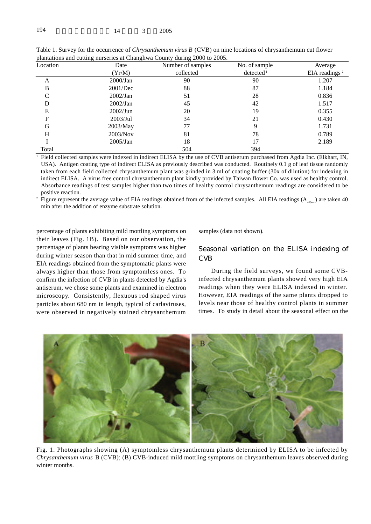| Location | Date        | Number of samples | No. of sample         | Average                                |  |  |
|----------|-------------|-------------------|-----------------------|----------------------------------------|--|--|
|          | (Yr/M)      | collected         | detected <sup>1</sup> | EIA readings <sup><math>2</math></sup> |  |  |
| A        | $2000$ /Jan | 90                | 90                    | 1.207                                  |  |  |
| B        | 2001/Dec    | 88                | 87                    | 1.184                                  |  |  |
| C        | 2002/Jan    | 51                | 28                    | 0.836                                  |  |  |
| D        | 2002/Jan    | 45                | 42                    | 1.517                                  |  |  |
| E        | 2002/Jun    | 20                | 19                    | 0.355                                  |  |  |
| F        | 2003/Jul    | 34                | 21                    | 0.430                                  |  |  |
| G        | 2003/May    | 77                | 9                     | 1.731                                  |  |  |
| H        | 2003/Nov    | 81                | 78                    | 0.789                                  |  |  |
|          | 2005/Jan    | 18                | 17                    | 2.189                                  |  |  |
| Total    |             | 504               | 394                   |                                        |  |  |

Table 1. Survey for the occurrence of *Chrysanthemum virus B* (CVB) on nine locations of chrysanthemum cut flower plantations and cutting nurseries at Changhwa County during 2000 to 2005.

<sup>1</sup> Field collected samples were indexed in indirect ELISA by the use of CVB antiserum purchased from Agdia Inc. (Elkhart, IN, USA). Antigen coating type of indirect ELISA as previously described was conducted. Routinely 0.1 g of leaf tissue randomly taken from each field collected chrysanthemum plant was grinded in 3 ml of coating buffer (30x of dilution) for indexing in indirect ELISA. A virus free control chrysanthemum plant kindly provided by Taiwan flower Co. was used as healthy control. Absorbance readings of test samples higher than two times of healthy control chrysanthemum readings are considered to be positive reaction.

<sup>2</sup> Figure represent the average value of EIA readings obtained from of the infected samples. All EIA readings  $(A_{405nm})$  are taken 40 min after the addition of enzyme substrate solution.

percentage of plants exhibiting mild mottling symptoms on their leaves (Fig. 1B). Based on our observation, the percentage of plants bearing visible symptoms was higher during winter season than that in mid summer time, and EIA readings obtained from the symptomatic plants were always higher than those from symptomless ones. To confirm the infection of CVB in plants detected by Agdia's antiserum, we chose some plants and examined in electron microscopy. Consistently, flexuous rod shaped virus particles about 680 nm in length, typical of carlaviruses, were observed in negatively stained chrysanthemum samples (data not shown).

# *Seasonal variation on the ELISA indexing of C V B*

During the field surveys, we found some CVBinfected chrysanthemum plants showed very high EIA readings when they were ELISA indexed in winter. However, EIA readings of the same plants dropped to levels near those of healthy control plants in summer times. To study in detail about the seasonal effect on the



Fig. 1. Photographs showing (A) symptomless chrysanthemum plants determined by ELISA to be infected by *Chrysanthemum virus* B (CVB); (B) CVB-induced mild mottling symptoms on chrysanthemum leaves observed during winter months.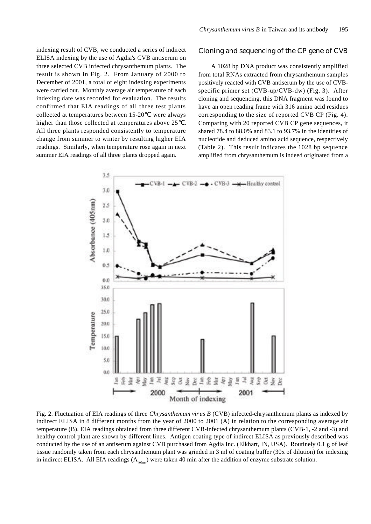indexing result of CVB, we conducted a series of indirect ELISA indexing by the use of Agdia's CVB antiserum on three selected CVB infected chrysanthemum plants. The result is shown in Fig. 2. From January of 2000 to December of 2001, a total of eight indexing experiments were carried out. Monthly average air temperature of each indexing date was recorded for evaluation. The results confirmed that EIA readings of all three test plants collected at temperatures between 15-20 were always higher than those collected at temperatures above 25. All three plants responded consistently to temperature change from summer to winter by resulting higher EIA readings. Similarly, when temperature rose again in next summer EIA readings of all three plants dropped again.

## *Cloning and sequencing of the CP gene of CVB*

A 1028 bp DNA product was consistently amplified from total RNAs extracted from chrysanthemum samples positively reacted with CVB antiserum by the use of CVBspecific primer set (CVB-up/CVB-dw) (Fig. 3). After cloning and sequencing, this DNA fragment was found to have an open reading frame with 316 amino acid residues corresponding to the size of reported CVB CP (Fig. 4). Comparing with 20 reported CVB CP gene sequences, it shared 78.4 to 88.0% and 83.1 to 93.7% in the identities of nucleotide and deduced amino acid sequence, respectively ( Table 2). This result indicates the 1028 bp sequence amplified from chrysanthemum is indeed originated from a



Fig. 2. Fluctuation of EIA readings of three *Chrysanthemum virus B* (CVB) infected-chrysanthemum plants as indexed by indirect ELISA in 8 different months from the year of 2000 to 2001 (A) in relation to the corresponding average air temperature (B). EIA readings obtained from three different CVB-infected chrysanthemum plants (CVB-1, -2 and -3) and healthy control plant are shown by different lines. Antigen coating type of indirect ELISA as previously described was conducted by the use of an antiserum against CVB purchased from Agdia Inc. (Elkhart, IN, USA). Routinely 0.1 g of leaf tissue randomly taken from each chrysanthemum plant was grinded in 3 ml of coating buffer (30x of dilution) for indexing in indirect ELISA. All EIA readings  $(A_{_{405nm}})$  were taken 40 min after the addition of enzyme substrate solution.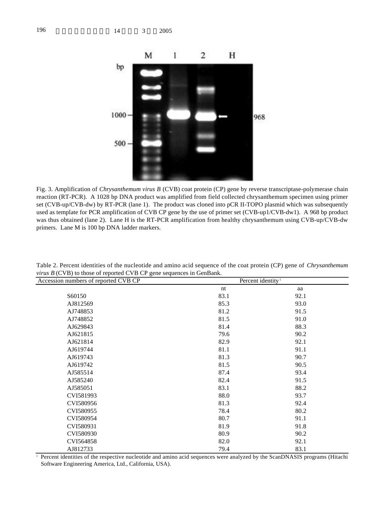

Fig. 3. Amplification of *Chrysanthemum virus B* (CVB) coat protein (CP) gene by reverse transcriptase-polymerase chain reaction (RT-PCR). A 1028 bp DNA product was amplified from field collected chrysanthemum specimen using primer set (CVB-up/CVB-dw) by RT-PCR (lane 1). The product was cloned into pCR II-TOPO plasmid which was subsequently used as template for PCR amplification of CVB CP gene by the use of primer set (CVB-up1/CVB-dw1). A 968 bp product was thus obtained (lane 2). Lane H is the RT-PCR amplification from healthy chrysanthemum using CVB-up/CVB-dw primers. Lane M is 100 bp DNA ladder markers.

| $\circ$<br>Accession numbers of reported CVB CP | Percent identity <sup>1</sup> |      |  |
|-------------------------------------------------|-------------------------------|------|--|
|                                                 | nt                            | aa   |  |
| S60150                                          | 83.1                          | 92.1 |  |
| AJ812569                                        | 85.3                          | 93.0 |  |
| AJ748853                                        | 81.2                          | 91.5 |  |
| AJ748852                                        | 81.5                          | 91.0 |  |
| AJ629843                                        | 81.4                          | 88.3 |  |
| AJ621815                                        | 79.6                          | 90.2 |  |
| AJ621814                                        | 82.9                          | 92.1 |  |
| AJ619744                                        | 81.1                          | 91.1 |  |
| AJ619743                                        | 81.3                          | 90.7 |  |
| AJ619742                                        | 81.5                          | 90.5 |  |
| AJ585514                                        | 87.4                          | 93.4 |  |
| AJ585240                                        | 82.4                          | 91.5 |  |
| AJ585051                                        | 83.1                          | 88.2 |  |
| CVI581993                                       | 88.0                          | 93.7 |  |
| CVI580956                                       | 81.3                          | 92.4 |  |
| CVI580955                                       | 78.4                          | 80.2 |  |
| CVI580954                                       | 80.7                          | 91.1 |  |
| CVI580931                                       | 81.9                          | 91.8 |  |
| CVI580930                                       | 80.9                          | 90.2 |  |
| CVI564858                                       | 82.0                          | 92.1 |  |
| AJ812733                                        | 79.4                          | 83.1 |  |

Table 2. Percent identities of the nucleotide and amino acid sequence of the coat protein (CP) gene of *Chrysanthemum virus B* (CVB) to those of reported CVB CP gene sequences in GenBank

<sup>1</sup> Percent identities of the respective nucleotide and amino acid sequences were analyzed by the ScanDNASIS programs (Hitachi Software Engineering America, Ltd., California, USA).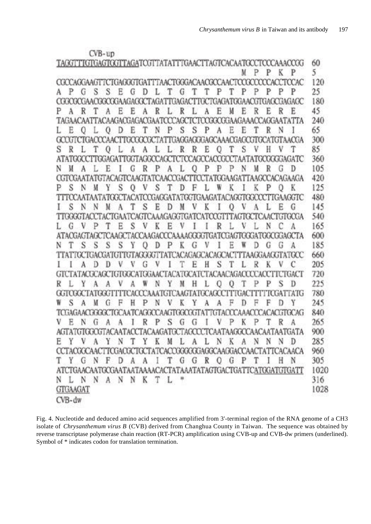|                                                                  | $CVB$ -up  |                 |                     |                                                 |                 |                 |    |    |                |           |                         |
|------------------------------------------------------------------|------------|-----------------|---------------------|-------------------------------------------------|-----------------|-----------------|----|----|----------------|-----------|-------------------------|
| TAGGTTTGTGAGTGGTTAGATCGTTATATTTGAACTTAGTCACAATGCCTCCCAAACCGG     |            |                 |                     |                                                 |                 |                 |    |    |                |           |                         |
|                                                                  |            |                 |                     |                                                 |                 |                 | M  | P  | P              | K         | P                       |
| COCCACGAAGTTCTGAGGGTGATTTAACTGGGACAACGCCAACT                     |            |                 |                     |                                                 |                 |                 |    |    |                |           | <b>TAC</b>              |
| S<br>А<br>t s                                                    | N          |                 |                     |                                                 |                 |                 |    |    | Ρ              |           | <b>JACKYJAGACK</b>      |
| YAAN T<br>œ                                                      | 74.467.40  |                 | AGA                 | magar                                           | ĩМ              | 747             |    |    |                |           |                         |
| Ρ<br>A                                                           | Е<br>А     | E<br>Δ<br>Y HAO | R                   |                                                 | н               | N               | E  | R  | E              | R         | E                       |
|                                                                  |            | -af             | Р                   |                                                 |                 |                 |    |    |                | XIAA<br>N |                         |
|                                                                  |            | Е               | N                   | S<br>S                                          |                 | F               | н  |    | R              |           |                         |
|                                                                  | ъ          | 11              |                     | TEMETAL                                         | TIMT            |                 | ПM |    |                |           | ГААССА                  |
| S                                                                |            |                 |                     |                                                 | P.              |                 | S  |    |                |           | <b>YYMGATC</b>          |
| N                                                                |            |                 |                     |                                                 | 'ACU<br>AL IL I |                 |    |    |                |           |                         |
|                                                                  | н          |                 | A                   |                                                 |                 |                 |    | м  | R              | G         | D<br><b>XY ACAGAAGA</b> |
|                                                                  |            | AЦ              | 170 A.M             |                                                 |                 |                 |    |    |                |           |                         |
| S<br>Р                                                           | S          |                 | S                   |                                                 |                 |                 |    |    |                | 3A AGY TI | К                       |
| Ŧ                                                                |            |                 |                     |                                                 |                 |                 |    |    |                |           |                         |
| S<br>N.                                                          | м          | S               | E<br>D<br>AGAGG.    |                                                 |                 | 0               | V  |    |                | E         | G                       |
|                                                                  |            |                 |                     |                                                 |                 |                 |    |    |                |           |                         |
| Ui.                                                              |            | S<br>галсыс     | Е<br>K              | <b>YYYAAAGG</b>                                 |                 |                 |    | ă. |                | YY M      |                         |
| К                                                                | S          | O               |                     |                                                 |                 | Е               |    | и  |                | G         | A                       |
| N<br>S                                                           | S          | YYYYT           | n                   | J.<br>'Ar                                       | ិងរ             |                 |    |    | G<br>90 B.D.O. | W         | TYY                     |
|                                                                  |            | Ш               |                     | 7AF                                             |                 |                 |    |    |                |           |                         |
|                                                                  |            | G               | v                   | Е                                               | S<br>Н          |                 |    | R  | K              |           |                         |
|                                                                  | 88 A B A A | Alfa-AAC        | JJ I                | ā.                                              |                 | 'A A (<br>740 M |    |    |                | R         | TGACT                   |
| R                                                                |            |                 | N                   |                                                 |                 | U               |    |    |                |           | П<br>'A                 |
|                                                                  |            |                 | Δ<br>V              |                                                 |                 | ц               |    |    | F              |           | TG<br>Y                 |
| S<br>W<br>Δ                                                      |            |                 | N                   |                                                 |                 |                 |    | Ħ  |                | D         |                         |
| 活跃消费                                                             |            |                 | -81                 |                                                 |                 |                 |    |    | ੋਂ ਘੋ ਹ        |           | TY AG                   |
| V<br>E<br>N<br>U                                                 |            | R               | S<br>Р              | G<br>U                                          |                 | Ρ               | K  | Р  | Т              | R         | A                       |
| <b>AGTATGTGGCGTACAATAC</b>                                       |            |                 |                     | <b>TACAAGATGCTAGCCCTCAATAAGGCCAACAATAATGATA</b> |                 |                 |    |    |                |           |                         |
| Е<br>Å                                                           | N          |                 | M<br>K              | А                                               | N               | K               | A  | N  | N              | N         |                         |
| CCTACGCCAACTTCGACGCTGCTATCACCGGGGGGAGGAGGAGGACCAACTATTCACAACA    |            |                 |                     |                                                 |                 |                 |    |    |                |           |                         |
| Y<br>$\mathcal G$<br>N                                           | F<br>D     | A<br>Å          | I                   | G<br>G                                          | -R<br>0         | G               | P  |    |                | H         | N                       |
| CTGAACAATGCGAATAATAAAACACTATAAATATAGTGACTGATTCATGGATGTGATT<br>AT |            |                 |                     |                                                 |                 |                 |    |    |                |           |                         |
| N<br>- 11<br>$\mathbb{N}$<br>-N                                  | A N        | N<br>К          | $\mathcal{T}$<br>L. | ۴                                               |                 |                 |    |    |                |           |                         |
| <b>GTGAAGAT</b>                                                  |            |                 |                     |                                                 |                 |                 |    |    |                |           |                         |
| $CVB$ -dw                                                        |            |                 |                     |                                                 |                 |                 |    |    |                |           |                         |
|                                                                  |            |                 |                     |                                                 |                 |                 |    |    |                |           |                         |

Fig. 4. Nucleotide and deduced amino acid sequences amplified from 3'-terminal region of the RNA genome of a CH3 isolate of *Chrysanthemum virus B* (CVB) derived from Changhua County in Taiwan. The sequence was obtained by reverse transcriptase polymerase chain reaction (RT-PCR) amplification using CVB-up and CVB-dw primers (underlined). Symbol of \* indicates codon for translation termination.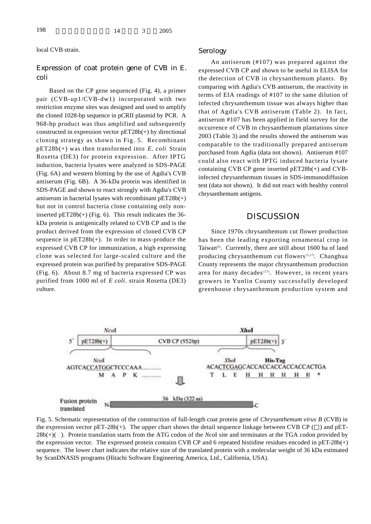local CVB strain.

## *Expression of coat protein gene of CVB in E.*  $coli$

Based on the CP gene sequenced (Fig. 4), a primer pair (CVB-up1/CVB-dw1) incorporated with two restriction enzyme sites was designed and used to amplify the cloned 1028-bp sequence in pCRII plasmid by PCR. A 968-bp product was thus amplified and subsequently constructed in expression vector pET28b(+) by directional cloning strategy as shown in Fig. 5. Recombinant  $pET28b(+)$  was then transformed into *E. coli* Strain Rosetta (DE3) for protein expression. After IPTG induction, bacteria lysates were analyzed in SDS-PAGE (Fig. 6A) and western blotting by the use of Agdia's CVB antiserum (Fig. 6B). A 36-kDa protein was identified in SDS-PAGE and shown to react strongly with Agdia's CVB antiserum in bacterial lysates with recombinant pET28b(+) but not in control bacteria clone containing only noninserted  $pET28b(+)$  (Fig. 6). This result indicates the 36kDa protein is antigenically related to CVB CP and is the product derived from the expression of cloned CVB CP sequence in pET28b(+). In order to mass-produce the expressed CVB CP for immunization, a high expressing clone was selected for large-scaled culture and the expressed protein was purified by preparative SDS-PAGE (Fig. 6). About 8.7 mg of bacteria expressed CP was purified from 1000 ml of *E coli*. strain Rosetta (DE3) culture.

#### *S e r o l o g y*

An antiserum (#107) was prepared against the expressed CVB CP and shown to be useful in ELISA for the detection of CVB in chrysanthemum plants. By comparing with Agdia's CVB antiserum, the reactivity in terms of EIA readings of #107 to the same dilution of infected chrysanthemum tissue was always higher than that of Agdia's CVB antiserum (Table 2). In fact, antiserum #107 has been applied in field survey for the occurrence of CVB in chrysanthemum plantations since 2003 (Table 3) and the results showed the antiserum was comparable to the traditionally prepared antiserum purchased from Agdia (data not shown). Antiserum #107 could also react with IPTG induced bacteria lysate containing CVB CP gene inserted pET28b(+) and CVBinfected chrysanthemum tissues in SDS-immunodiffusion test (data not shown). It did not react with healthy control chrysanthemum antigens.

## *D I S C U S S I O N*

Since 1970s chrysanthemum cut flower production has been the leading exporting ornamental crop in Taiwan<sup>(5)</sup>. Currently, there are still about 1600 ha of land producing chrysanthemum cut flowers<sup>(5,17)</sup>. Changhua County represents the major chrysanthemum production area for many decades<sup>(17)</sup>. However, in recent years growers in Yunlin County successfully developed greenhouse chrysanthemum production system and



Fig. 5. Schematic representation of the construction of full-length coat protein gene of *Chrysanthemum virus B* (CVB) in the expression vector  $pET-28b(+)$ . The upper chart shows the detail sequence linkage between CVB CP () and  $pET-$ 28b(+)( $\vert$ ). Protein translation starts from the ATG codon of the *Nco*I site and terminates at the TGA codon provided by the expression vector. The expressed protein contains CVB CP and 6 repeated histidine residues encoded in  $pET-28b(+)$ sequence. The lower chart indicates the relative size of the translated protein with a molecular weight of 36 kDa estimated by ScanDNASIS programs (Hitachi Software Engineering America, Ltd., California, USA).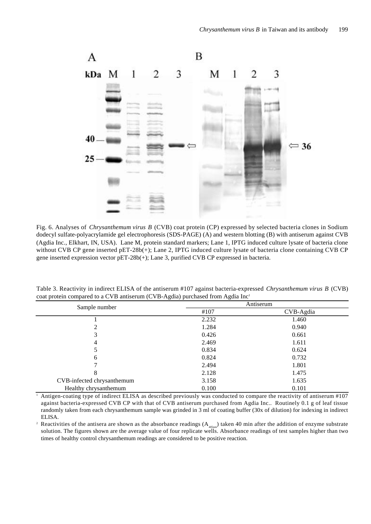

Fig. 6. Analyses of *Chrysanthemum virus B* (CVB) coat protein (CP) expressed by selected bacteria clones in Sodium dodecyl sulfate-polyacrylamide gel electrophoresis (SDS-PAGE) (A) and western blotting (B) with antiserum against CVB (Agdia Inc., Elkhart, IN, USA). Lane M, protein standard markers; Lane 1, IPTG induced culture lysate of bacteria clone without CVB CP gene inserted pET-28b(+); Lane 2, IPTG induced culture lysate of bacteria clone containing CVB CP gene inserted expression vector pET-28b(+); Lane 3, purified CVB CP expressed in bacteria.

| Sample number              | Antiserum |           |  |  |  |
|----------------------------|-----------|-----------|--|--|--|
|                            | #107      | CVB-Agdia |  |  |  |
|                            | 2.232     | 1.460     |  |  |  |
| ∍                          | 1.284     | 0.940     |  |  |  |
| 3                          | 0.426     | 0.661     |  |  |  |
| 4                          | 2.469     | 1.611     |  |  |  |
|                            | 0.834     | 0.624     |  |  |  |
| 6                          | 0.824     | 0.732     |  |  |  |
|                            | 2.494     | 1.801     |  |  |  |
| 8                          | 2.128     | 1.475     |  |  |  |
| CVB-infected chrysanthemum | 3.158     | 1.635     |  |  |  |
| Healthy chrysanthemum      | 0.100     | 0.101     |  |  |  |

Table 3. Reactivity in indirect ELISA of the antiserum #107 against bacteria-expressed *Chrysanthemum virus B* (CVB) coat protein compared to a CVB antiserum (CVB-Agdia) purchased from Agdia Inc<sup>1</sup>

<sup>1</sup> Antigen-coating type of indirect ELISA as described previously was conducted to compare the reactivity of antiserum #107 against bacteria-expressed CVB CP with that of CVB antiserum purchased from Agdia Inc.. Routinely 0.1 g of leaf tissue randomly taken from each chrysanthemum sample was grinded in 3 ml of coating buffer (30x of dilution) for indexing in indirect ELISA.

<sup>2</sup> Reactivities of the antisera are shown as the absorbance readings  $(A_{_{405nm}})$  taken 40 min after the addition of enzyme substrate solution. The figures shown are the average value of four replicate wells. Absorbance readings of test samples higher than two times of healthy control chrysanthemum readings are considered to be positive reaction.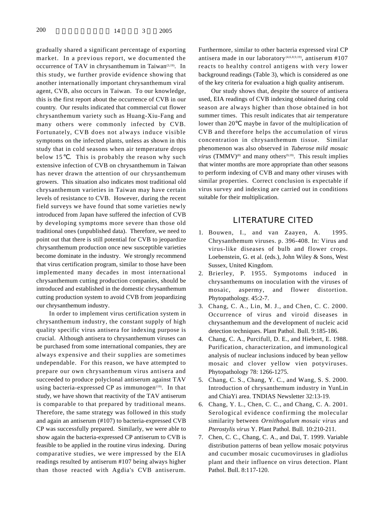gradually shared a significant percentage of exporting market. In a previous report, we documented the occurrence of TAV in chrysanthemum in Taiwan<sup>(3,19)</sup>. In this study, we further provide evidence showing that another internationally important chrysanthemum viral agent, CVB, also occurs in Taiwan. To our knowledge, this is the first report about the occurrence of CVB in our country. Our results indicated that commercial cut flower chrysanthemum variety such as Huang-Xiu-Fang and many others were commonly infected by CVB. Fortunately, CVB does not always induce visible symptoms on the infected plants, unless as shown in this study that in cold seasons when air temperature drops below 15 . This is probably the reason why such extensive infection of CVB on chrysanthemum in Taiwan has never drawn the attention of our chrysanthemum growers. This situation also indicates most traditional old chrysanthemum varieties in Taiwan may have certain levels of resistance to CVB. However, during the recent field surveys we have found that some varieties newly introduced from Japan have suffered the infection of CVB by developing symptoms more severe than those old traditional ones (unpublished data). Therefore, we need to point out that there is still potential for CVB to jeopardize chrysanthemum production once new susceptible varieties become dominate in the industry. We strongly recommend that virus certification program, similar to those have been implemented many decades in most international chrysanthemum cutting production companies, should be introduced and established in the domestic chrysanthemum cutting production system to avoid CVB from jeopardizing our chrysanthemum industry.

In order to implement virus certification system in chrysanthemum industry, the constant supply of high quality specific virus antisera for indexing purpose is crucial. Although antisera to chrysanthemum viruses can be purchased from some international companies, they are always expensive and their supplies are sometimes undependable. For this reason, we have attempted to prepare our own chrysanthemum virus antisera and succeeded to produce polyclonal antiserum against TAV using bacteria-expressed CP as immunogen<sup>(19)</sup>. In that study, we have shown that reactivity of the TAV antiserum is comparable to that prepared by traditional means. Therefore, the same strategy was followed in this study and again an antiserum (#107) to bacteria-expressed CVB CP was successfully prepared. Similarly, we were able to show again the bacteria-expressed CP antiserum to CVB is feasible to be applied in the routine virus indexing. During comparative studies, we were impressed by the EIA readings resulted by antiserum #107 being always higher than those reacted with Agdia's CVB antiserum.

Furthermore, similar to other bacteria expressed viral CP antisera made in our laboratory<sup>(4,6,8,9,19)</sup>, antiserum #107 reacts to healthy control antigens with very lower background readings (Table 3), which is considered as one of the key criteria for evaluation a high quality antiserum.

Our study shows that, despite the source of antisera used, EIA readings of CVB indexing obtained during cold season are always higher than those obtained in hot summer times. This result indicates that air temperature lower than 20 maybe in favor of the multiplication of CVB and therefore helps the accumulation of virus concentration in chrysanthemum tissue. Similar phenomenon was also observed in *Tuberose mild mosaic virus* (TMMV)<sup>(8)</sup> and many others<sup>(9,19)</sup>. This result implies that winter months are more appropriate than other seasons to perform indexing of CVB and many other viruses with similar properties. Correct conclusion is expectable if virus survey and indexing are carried out in conditions suitable for their multiplication.

## *LITERATURE CITED*

- 1. Bouwen, I., and van Zaayen, A. 1995. Chrysanthemum viruses. p. 396-408. In: Virus and virus-like diseases of bulb and flower crops. Loebenstein, G. et al. (eds.), John Wiley & Sons, West Sussex, United Kingdom.
- 2. Brierley, P. 1955. Sympotoms induced in chrysanthemums on inoculation with the viruses of mosaic, aspermy, and flower distortion. Phytopathology. 45:2-7.
- 3 . Chang, C. A., Lin, M. J., and Chen, C. C. 2000. Occurrence of virus and viroid diseases in chrysanthemum and the development of nucleic acid detection techniques. Plant Pathol. Bull. 9:185-186.
- 4 . Chang, C. A., Purcifull, D. E., and Hiebert, E. 1988. Purification, characterization, and immunological analysis of nuclear inclusions induced by bean yellow mosaic and clover yellow vien potyviruses. Phytopathology 78: 1266-1275.
- 5 . Chang, C. S., Chang, Y. C., and Wang, S. S. 2000. Introduction of chrysanthemum industry in YunLin and ChiaYi area. TNDIAS Newsletter 32:13-19.
- 6 . Chang, Y. L., Chen, C. C., and Chang, C. A. 2001. Serological evidence confirming the molecular similarity between *Ornithogalum mosaic virus* and *Pterostylis virus* Y. Plant Pathol. Bull. 10:210-211.
- 7. Chen, C. C., Chang, C. A., and Dai, T. 1999. Variable distribution patterns of bean yellow mosaic potyvirus and cucumber mosaic cucumoviruses in gladiolus plant and their influence on virus detection. Plant Pathol. Bull. 8:117-120.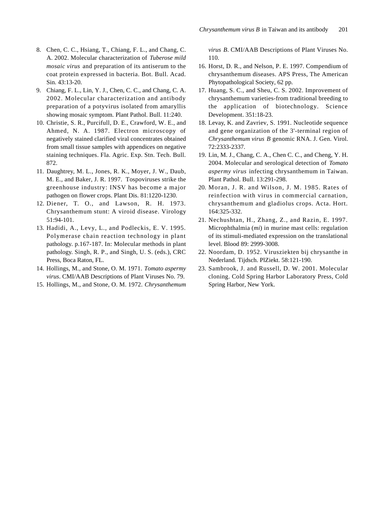- 8 . Chen, C. C., Hsiang, T., Chiang, F. L., and Chang, C. A. 2002. Molecular characterization of *Tuberose mild mosaic virus* and preparation of its antiserum to the coat protein expressed in bacteria. Bot. Bull. Acad. Sin. 43:13-20.
- 9 . Chiang, F. L., Lin, Y. J., Chen, C. C., and Chang, C. A. 2002. Molecular characterization and antibody preparation of a potyvirus isolated from amaryllis showing mosaic symptom. Plant Pathol. Bull. 11:240.
- 10. Christie, S. R., Purcifull, D. E., Crawford, W. E., and Ahmed, N. A. 1987. Electron microscopy of negatively stained clarified viral concentrates obtained from small tissue samples with appendices on negative staining techniques. Fla. Agric. Exp. Stn. Tech. Bull. 872.
- 11. Daughtrey, M. L., Jones, R. K., Moyer, J. W., Daub, M. E., and Baker, J. R. 1997. Tospoviruses strike the greenhouse industry: INSV has become a major pathogen on flower crops. Plant Dis. 81:1220-1230.
- 12. Diener, T. O., and Lawson, R. H. 1973. Chrysanthemum stunt: A viroid disease. Virology 51:94-101.
- 13. Hadidi, A., Levy, L., and Podleckis, E. V. 1995. Polymerase chain reaction technology in plant pathology. p.167-187. In: Molecular methods in plant pathology. Singh, R. P., and Singh, U. S. (eds.), CRC Press, Boca Raton, FL.
- 1 4 . Hollings, M., and Stone, O. M. 1971. *Tomato aspermy virus.* CMI/AAB Descriptions of Plant Viruses No. 79.
- 15. Hollings, M., and Stone, O. M. 1972. *Chrysanthemum*

*virus B.* CMI/AAB Descriptions of Plant Viruses No.  $110.$ 

- 16. Horst, D. R., and Nelson, P. E. 1997. Compendium of chrysanthemum diseases. APS Press, The American Phytopathological Society, 62 pp.
- 17. Huang, S. C., and Sheu, C. S. 2002. Improvement of chrysanthemum varieties-from traditional breeding to the application of biotechnology. Science Development. 351:18-23.
- 18. Levay, K. and Zavriev, S. 1991. Nucleotide sequence and gene organization of the 3'-terminal region of *Chrysanthemum virus B* genomic RNA. J. Gen. Virol. 72:2333-2337.
- 19. Lin, M. J., Chang, C. A., Chen C. C., and Cheng, Y. H. 2004. Molecular and serological detection of *Tomato aspermy virus* infecting chrysanthemum in Taiwan. Plant Pathol. Bull. 13:291-298.
- 20. Moran, J. R. and Wilson, J. M. 1985. Rates of reinfection with virus in commercial carnation, chrysanthemum and gladiolus crops. Acta. Hort. 164:325-332.
- 21. Nechushtan, H., Zhang, Z., and Razin, E. 1997. Microphthalmia (*mi*) in murine mast cells: regulation of its stimuli-mediated expression on the translational level. Blood 89: 2999-3008.
- 22. Noordam, D. 1952. Virusziekten bij chrysanthe in Nederland. Tijdsch. PlZiekt. 58:121-190.
- 23. Sambrook, J. and Russell, D. W. 2001. Molecular cloning. Cold Spring Harbor Laboratory Press, Cold Spring Harbor, New York.